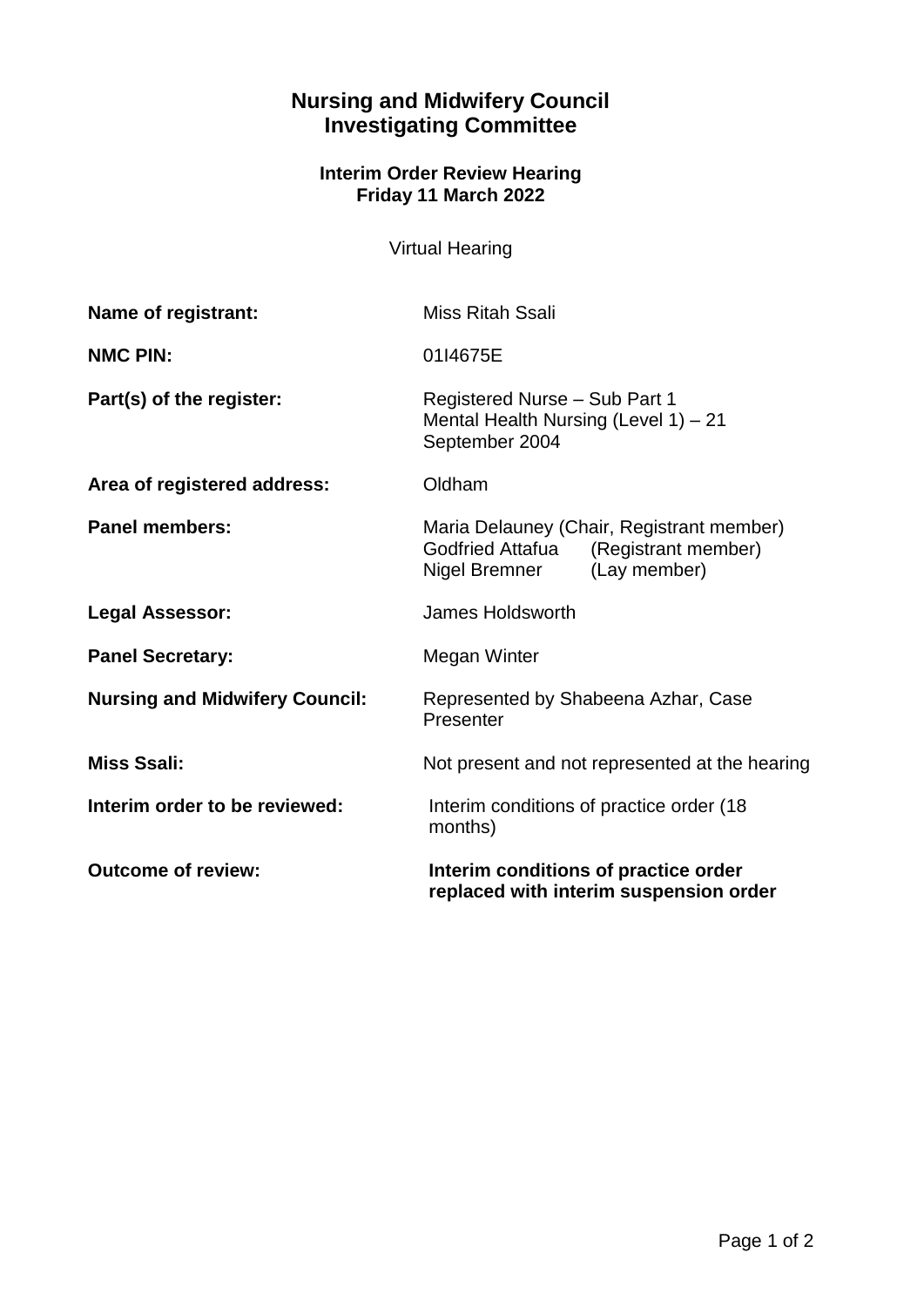## **Nursing and Midwifery Council Investigating Committee**

## **Interim Order Review Hearing Friday 11 March 2022**

Virtual Hearing

| Name of registrant:                   | <b>Miss Ritah Ssali</b>                                                                                               |
|---------------------------------------|-----------------------------------------------------------------------------------------------------------------------|
| <b>NMC PIN:</b>                       | 01I4675E                                                                                                              |
| Part(s) of the register:              | Registered Nurse - Sub Part 1<br>Mental Health Nursing (Level 1) - 21<br>September 2004                               |
| Area of registered address:           | Oldham                                                                                                                |
| <b>Panel members:</b>                 | Maria Delauney (Chair, Registrant member)<br>Godfried Attafua<br>(Registrant member)<br>Nigel Bremner<br>(Lay member) |
| <b>Legal Assessor:</b>                | James Holdsworth                                                                                                      |
| <b>Panel Secretary:</b>               | Megan Winter                                                                                                          |
| <b>Nursing and Midwifery Council:</b> | Represented by Shabeena Azhar, Case<br>Presenter                                                                      |
| <b>Miss Ssali:</b>                    | Not present and not represented at the hearing                                                                        |
| Interim order to be reviewed:         | Interim conditions of practice order (18)<br>months)                                                                  |
| <b>Outcome of review:</b>             | Interim conditions of practice order<br>replaced with interim suspension order                                        |